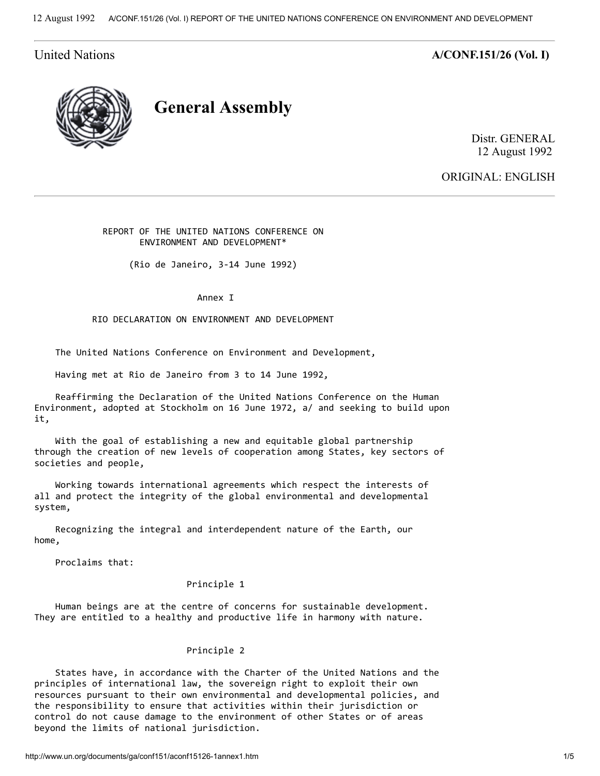United Nations **A/CONF.151/26** (Vol. I)



General Assembly

Distr. GENERAL 12 August 1992

ORIGINAL: ENGLISH

 REPORT OF THE UNITED NATIONS CONFERENCE ON ENVIRONMENT AND DEVELOPMENT\*

(Rio de Janeiro, 3-14 June 1992)

Annex I

RIO DECLARATION ON ENVIRONMENT AND DEVELOPMENT

The United Nations Conference on Environment and Development,

Having met at Rio de Janeiro from 3 to 14 June 1992,

 Reaffirming the Declaration of the United Nations Conference on the Human Environment, adopted at Stockholm on 16 June 1972, a/ and seeking to build upon it,

 With the goal of establishing a new and equitable global partnership through the creation of new levels of cooperation among States, key sectors of societies and people,

 Working towards international agreements which respect the interests of all and protect the integrity of the global environmental and developmental system,

 Recognizing the integral and interdependent nature of the Earth, our home,

Proclaims that:

# Principle 1

 Human beings are at the centre of concerns for sustainable development. They are entitled to a healthy and productive life in harmony with nature.

#### Principle 2

 States have, in accordance with the Charter of the United Nations and the principles of international law, the sovereign right to exploit their own resources pursuant to their own environmental and developmental policies, and the responsibility to ensure that activities within their jurisdiction or control do not cause damage to the environment of other States or of areas beyond the limits of national jurisdiction.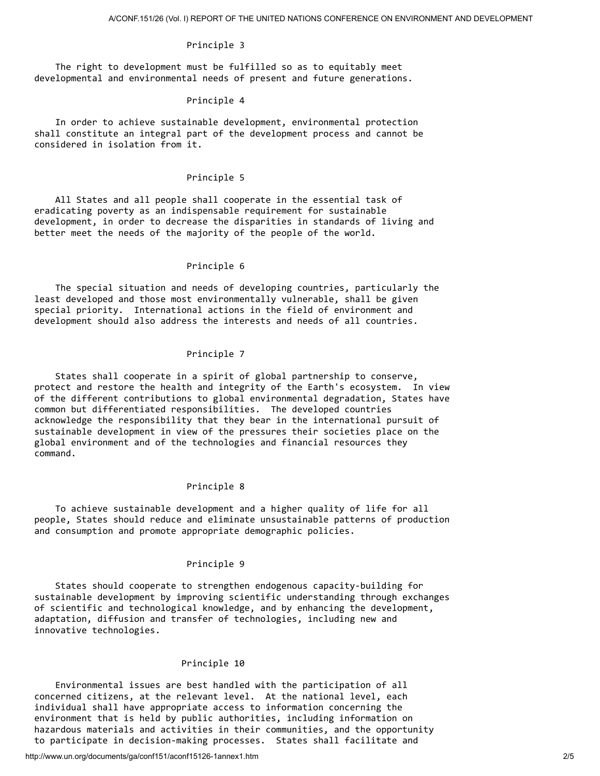# Principle 3

 The right to development must be fulfilled so as to equitably meet developmental and environmental needs of present and future generations.

#### Principle 4

 In order to achieve sustainable development, environmental protection shall constitute an integral part of the development process and cannot be considered in isolation from it.

## Principle 5

 All States and all people shall cooperate in the essential task of eradicating poverty as an indispensable requirement for sustainable development, in order to decrease the disparities in standards of living and better meet the needs of the majority of the people of the world.

#### Principle 6

 The special situation and needs of developing countries, particularly the least developed and those most environmentally vulnerable, shall be given special priority. International actions in the field of environment and development should also address the interests and needs of all countries.

#### Principle 7

 States shall cooperate in a spirit of global partnership to conserve, protect and restore the health and integrity of the Earth's ecosystem. In view of the different contributions to global environmental degradation, States have common but differentiated responsibilities. The developed countries acknowledge the responsibility that they bear in the international pursuit of sustainable development in view of the pressures their societies place on the global environment and of the technologies and financial resources they command.

## Principle 8

 To achieve sustainable development and a higher quality of life for all people, States should reduce and eliminate unsustainable patterns of production and consumption and promote appropriate demographic policies.

#### Principle 9

 States should cooperate to strengthen endogenous capacity-building for sustainable development by improving scientific understanding through exchanges of scientific and technological knowledge, and by enhancing the development, adaptation, diffusion and transfer of technologies, including new and innovative technologies.

# Principle 10

 Environmental issues are best handled with the participation of all concerned citizens, at the relevant level. At the national level, each individual shall have appropriate access to information concerning the environment that is held by public authorities, including information on hazardous materials and activities in their communities, and the opportunity to participate in decision-making processes. States shall facilitate and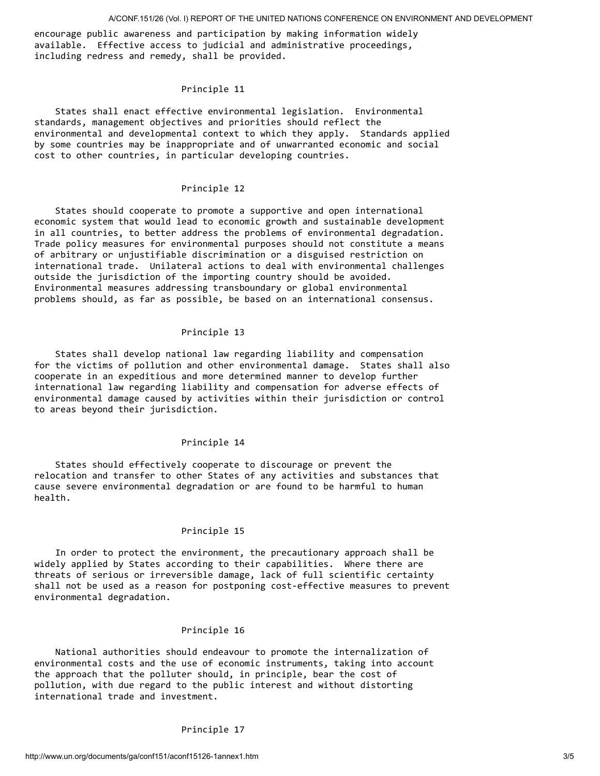encourage public awareness and participation by making information widely available. Effective access to judicial and administrative proceedings, including redress and remedy, shall be provided.

# Principle 11

 States shall enact effective environmental legislation. Environmental standards, management objectives and priorities should reflect the environmental and developmental context to which they apply. Standards applied by some countries may be inappropriate and of unwarranted economic and social cost to other countries, in particular developing countries.

# Principle 12

 States should cooperate to promote a supportive and open international economic system that would lead to economic growth and sustainable development in all countries, to better address the problems of environmental degradation. Trade policy measures for environmental purposes should not constitute a means of arbitrary or unjustifiable discrimination or a disguised restriction on international trade. Unilateral actions to deal with environmental challenges outside the jurisdiction of the importing country should be avoided. Environmental measures addressing transboundary or global environmental problems should, as far as possible, be based on an international consensus.

## Principle 13

 States shall develop national law regarding liability and compensation for the victims of pollution and other environmental damage. States shall also cooperate in an expeditious and more determined manner to develop further international law regarding liability and compensation for adverse effects of environmental damage caused by activities within their jurisdiction or control to areas beyond their jurisdiction.

# Principle 14

 States should effectively cooperate to discourage or prevent the relocation and transfer to other States of any activities and substances that cause severe environmental degradation or are found to be harmful to human health.

# Principle 15

 In order to protect the environment, the precautionary approach shall be widely applied by States according to their capabilities. Where there are threats of serious or irreversible damage, lack of full scientific certainty shall not be used as a reason for postponing cost-effective measures to prevent environmental degradation.

# Principle 16

 National authorities should endeavour to promote the internalization of environmental costs and the use of economic instruments, taking into account the approach that the polluter should, in principle, bear the cost of pollution, with due regard to the public interest and without distorting international trade and investment.

# Principle 17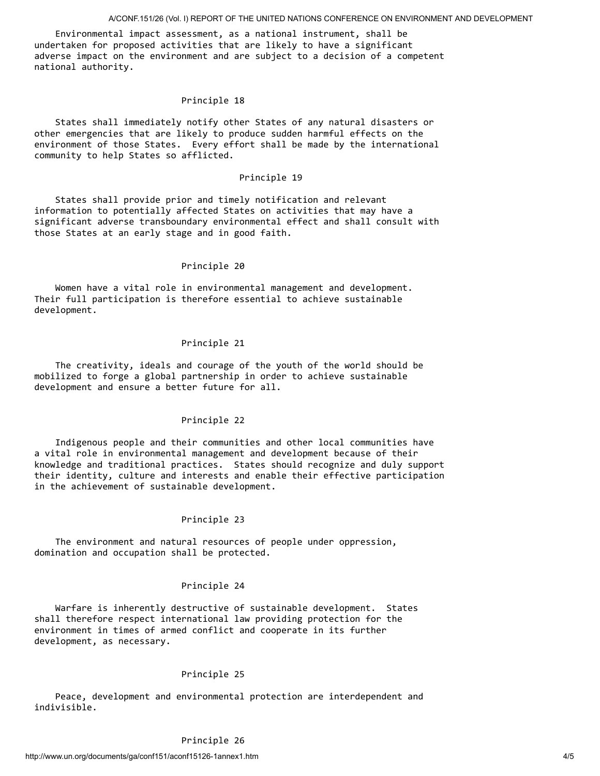Environmental impact assessment, as a national instrument, shall be undertaken for proposed activities that are likely to have a significant adverse impact on the environment and are subject to a decision of a competent national authority.

#### Principle 18

 States shall immediately notify other States of any natural disasters or other emergencies that are likely to produce sudden harmful effects on the environment of those States. Every effort shall be made by the international community to help States so afflicted.

### Principle 19

 States shall provide prior and timely notification and relevant information to potentially affected States on activities that may have a significant adverse transboundary environmental effect and shall consult with those States at an early stage and in good faith.

#### Principle 20

 Women have a vital role in environmental management and development. Their full participation is therefore essential to achieve sustainable development.

#### Principle 21

 The creativity, ideals and courage of the youth of the world should be mobilized to forge a global partnership in order to achieve sustainable development and ensure a better future for all.

## Principle 22

 Indigenous people and their communities and other local communities have a vital role in environmental management and development because of their knowledge and traditional practices. States should recognize and duly support their identity, culture and interests and enable their effective participation in the achievement of sustainable development.

#### Principle 23

 The environment and natural resources of people under oppression, domination and occupation shall be protected.

#### Principle 24

 Warfare is inherently destructive of sustainable development. States shall therefore respect international law providing protection for the environment in times of armed conflict and cooperate in its further development, as necessary.

## Principle 25

 Peace, development and environmental protection are interdependent and indivisible.

# Principle 26